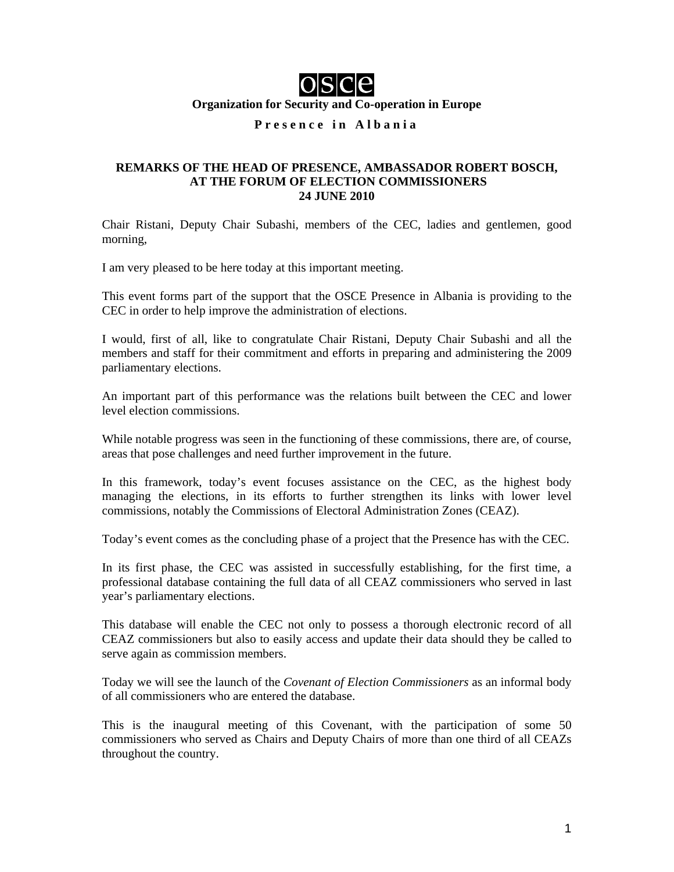

**Organization for Security and Co-operation in Europe** 

## **Presence in Albania**

## **REMARKS OF THE HEAD OF PRESENCE, AMBASSADOR ROBERT BOSCH, AT THE FORUM OF ELECTION COMMISSIONERS 24 JUNE 2010**

Chair Ristani, Deputy Chair Subashi, members of the CEC, ladies and gentlemen, good morning,

I am very pleased to be here today at this important meeting.

This event forms part of the support that the OSCE Presence in Albania is providing to the CEC in order to help improve the administration of elections.

I would, first of all, like to congratulate Chair Ristani, Deputy Chair Subashi and all the members and staff for their commitment and efforts in preparing and administering the 2009 parliamentary elections.

An important part of this performance was the relations built between the CEC and lower level election commissions.

While notable progress was seen in the functioning of these commissions, there are, of course, areas that pose challenges and need further improvement in the future.

In this framework, today's event focuses assistance on the CEC, as the highest body managing the elections, in its efforts to further strengthen its links with lower level commissions, notably the Commissions of Electoral Administration Zones (CEAZ).

Today's event comes as the concluding phase of a project that the Presence has with the CEC.

In its first phase, the CEC was assisted in successfully establishing, for the first time, a professional database containing the full data of all CEAZ commissioners who served in last year's parliamentary elections.

This database will enable the CEC not only to possess a thorough electronic record of all CEAZ commissioners but also to easily access and update their data should they be called to serve again as commission members.

Today we will see the launch of the *Covenant of Election Commissioners* as an informal body of all commissioners who are entered the database.

This is the inaugural meeting of this Covenant, with the participation of some 50 commissioners who served as Chairs and Deputy Chairs of more than one third of all CEAZs throughout the country.